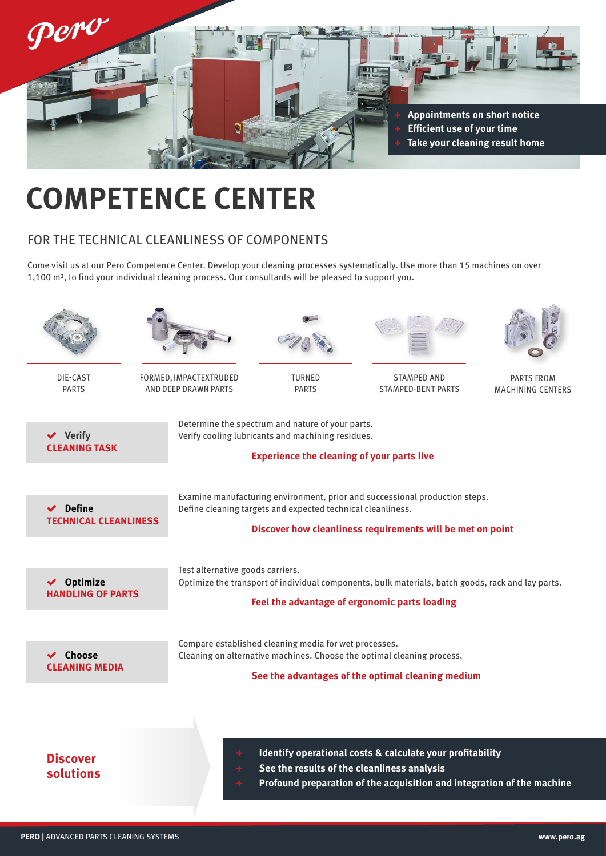

# **COMPETENCE CENTER**

## FOR THE TECHNICAL CLEANLINESS OF COMPONENTS

Come visit us at our Pero Competence Center. Develop your cleaning processes systematically. Use more than 15 machines on over 1,100 m², to find your individual cleaning process. Our consultants will be pleased to support you.